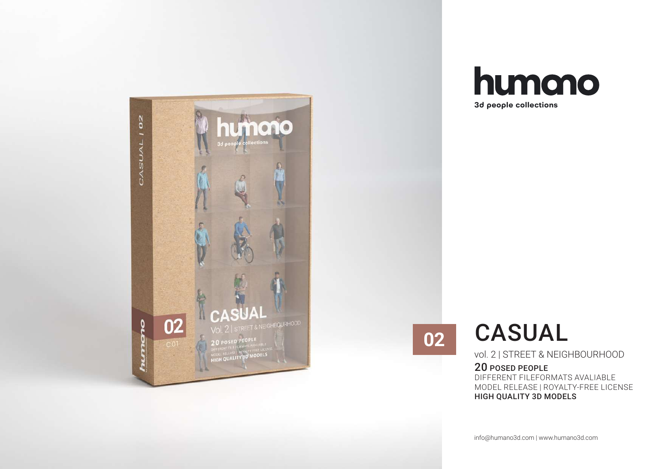



**02**

# CASUAL

vol. 2 | STREET & NEIGHBOURHOOD

### 20 POSED PEOPLE

DIFFERENT FILEFORMATS AVALIABLE MODEL RELEASE | ROYALTY-FREE LICENSE HIGH QUALITY 3D MODELS

info@humano3d.com | www.humano3d.com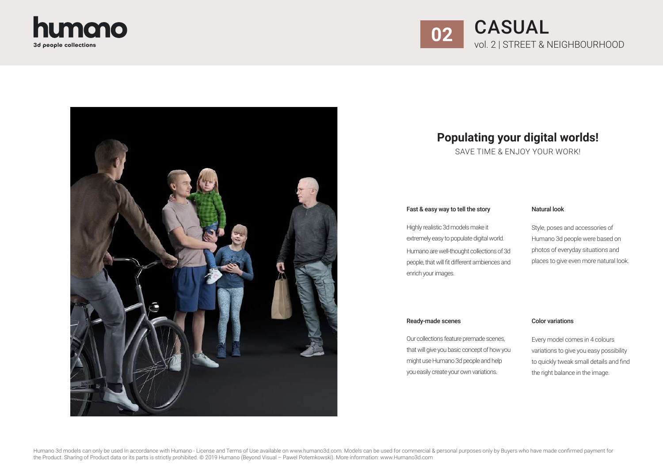



### **Populating your digital worlds!**

SAVE TIME & ENJOY YOUR WORK!

#### Fast & easy way to tell the story

#### Natural look

Highly realistic 3d models make it extremely easy to populate digital world. Humano are well-thought collections of 3d people, that will fit different ambiences and enrich your images.

Style, poses and accessories of Humano 3d people were based on photos of everyday situations and places to give even more natural look.

#### Ready-made scenes Color variations

Our collections feature premade scenes, that will give you basic concept of how you might use Humano 3d people and help you easily create your own variations.

Every model comes in 4 colours variations to give you easy possibility to quickly tweak small details and find the right balance in the image.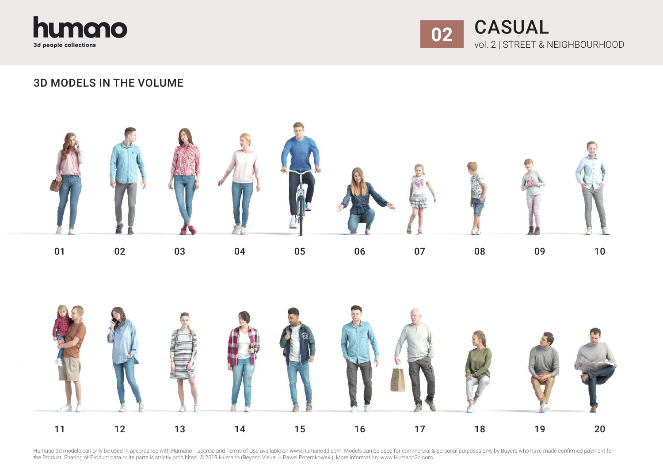



### 3D MODELS IN THE VOLUME



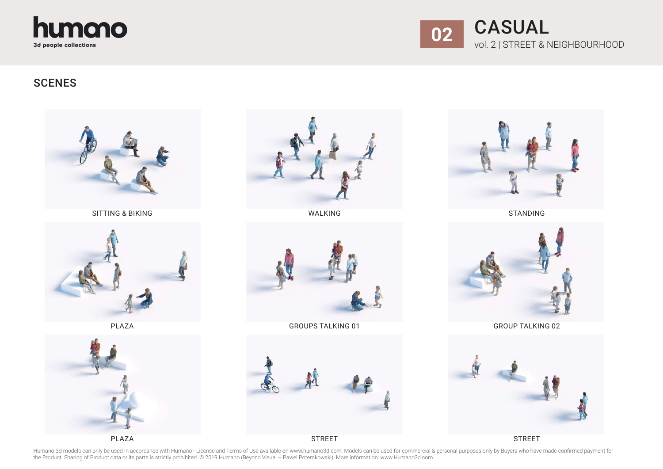



### **SCENES**



SITTING & BIKING



PLAZA





WALKING



GROUPS TALKING 01



**STREET** 



STANDING



GROUP TALKING 02



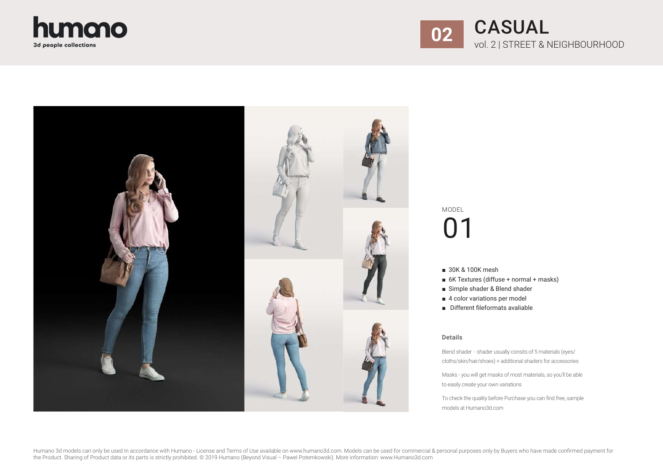





- 30K & 100K mesh
- 6K Textures (diffuse + normal + masks)
- Simple shader & Blend shader
- 4 color variations per model
- Different fileformats avaliable

### Details

Blend shader - shader usually consits of 5 materials (eyes/ cloths/skin/hair/shoes) + additional shaders for accessories

Masks - you will get masks of most materials, so you'll be able to easily create your own variations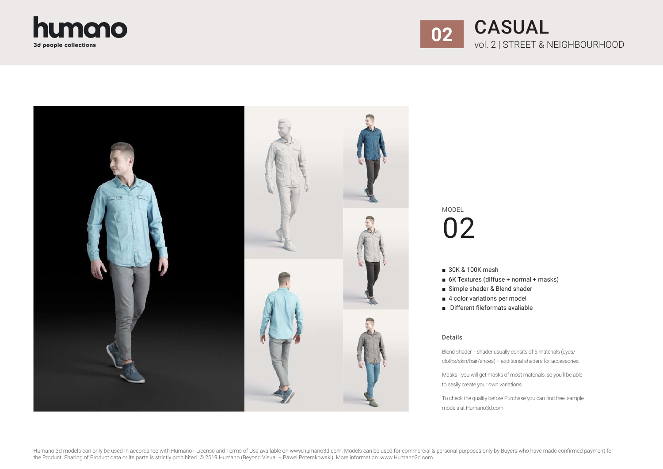





- 30K & 100K mesh
- 6K Textures (diffuse + normal + masks)
- Simple shader & Blend shader
- 4 color variations per model
- Different fileformats avaliable

### Details

Blend shader - shader usually consits of 5 materials (eyes/ cloths/skin/hair/shoes) + additional shaders for accessories

Masks - you will get masks of most materials, so you'll be able to easily create your own variations

To check the quality before Purchase you can find free, sample models at Humano3d.com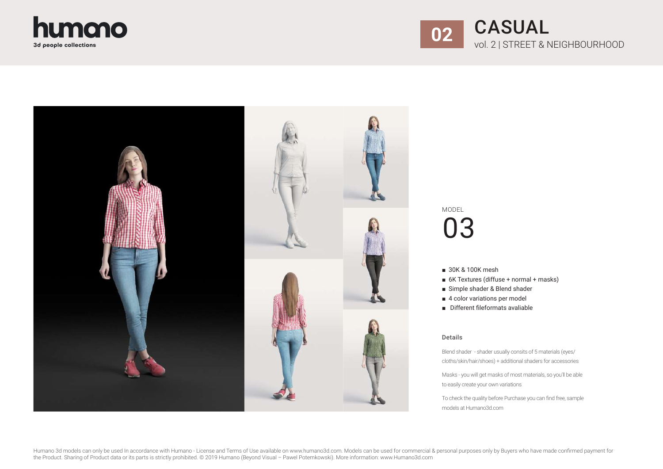





- 30K & 100K mesh
- 6K Textures (diffuse + normal + masks)
- Simple shader & Blend shader
- 4 color variations per model
- Different fileformats avaliable

### Details

Blend shader - shader usually consits of 5 materials (eyes/ cloths/skin/hair/shoes) + additional shaders for accessories

Masks - you will get masks of most materials, so you'll be able to easily create your own variations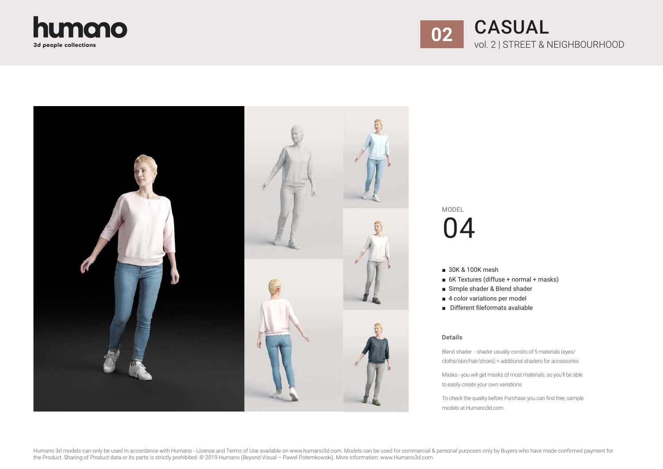





- 30K & 100K mesh
- 6K Textures (diffuse + normal + masks)
- Simple shader & Blend shader
- 4 color variations per model
- Different fileformats avaliable

### Details

Blend shader - shader usually consits of 5 materials (eyes/ cloths/skin/hair/shoes) + additional shaders for accessories

Masks - you will get masks of most materials, so you'll be able to easily create your own variations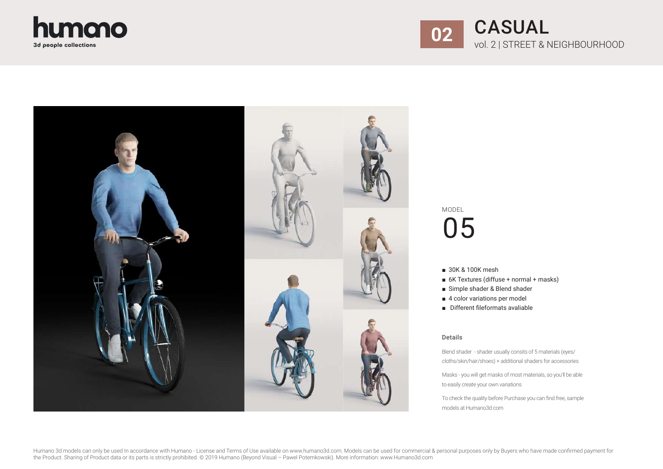





- 30K & 100K mesh
- 6K Textures (diffuse + normal + masks)
- Simple shader & Blend shader
- 4 color variations per model
- Different fileformats avaliable

### Details

Blend shader - shader usually consits of 5 materials (eyes/ cloths/skin/hair/shoes) + additional shaders for accessories

Masks - you will get masks of most materials, so you'll be able to easily create your own variations

To check the quality before Purchase you can find free, sample models at Humano3d.com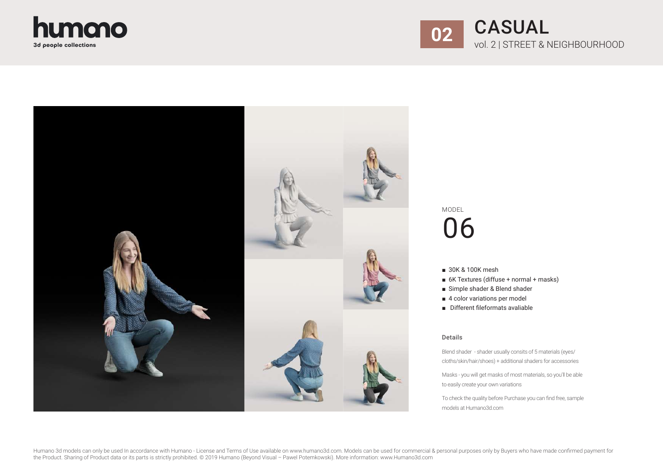





- 30K & 100K mesh
- 6K Textures (diffuse + normal + masks)
- Simple shader & Blend shader
- 4 color variations per model
- Different fileformats avaliable

#### Details

Blend shader - shader usually consits of 5 materials (eyes/ cloths/skin/hair/shoes) + additional shaders for accessories

Masks - you will get masks of most materials, so you'll be able to easily create your own variations

To check the quality before Purchase you can find free, sample models at Humano3d.com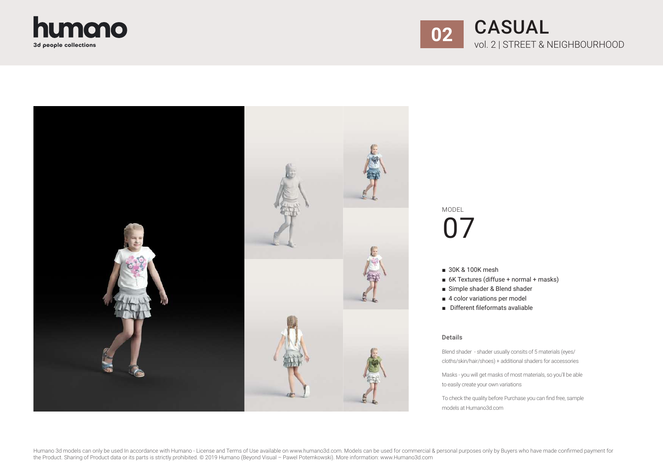





- 30K & 100K mesh
- 6K Textures (diffuse + normal + masks)
- Simple shader & Blend shader
- 4 color variations per model
- Different fileformats avaliable

#### Details

Blend shader - shader usually consits of 5 materials (eyes/ cloths/skin/hair/shoes) + additional shaders for accessories

Masks - you will get masks of most materials, so you'll be able to easily create your own variations

To check the quality before Purchase you can find free, sample models at Humano3d.com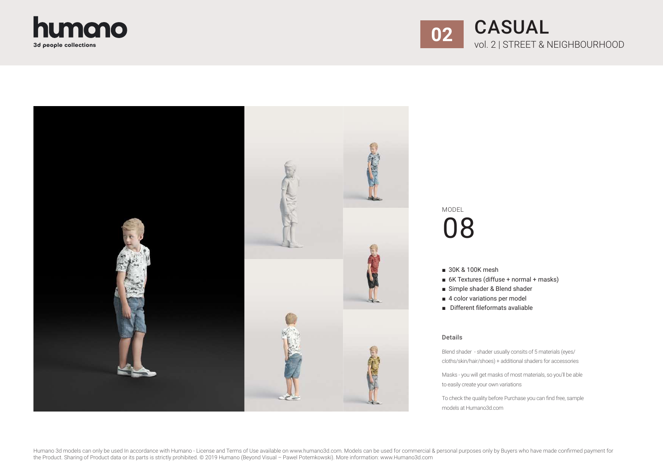





- 30K & 100K mesh
- 6K Textures (diffuse + normal + masks)
- Simple shader & Blend shader
- 4 color variations per model
- Different fileformats avaliable

#### Details

Blend shader - shader usually consits of 5 materials (eyes/ cloths/skin/hair/shoes) + additional shaders for accessories

Masks - you will get masks of most materials, so you'll be able to easily create your own variations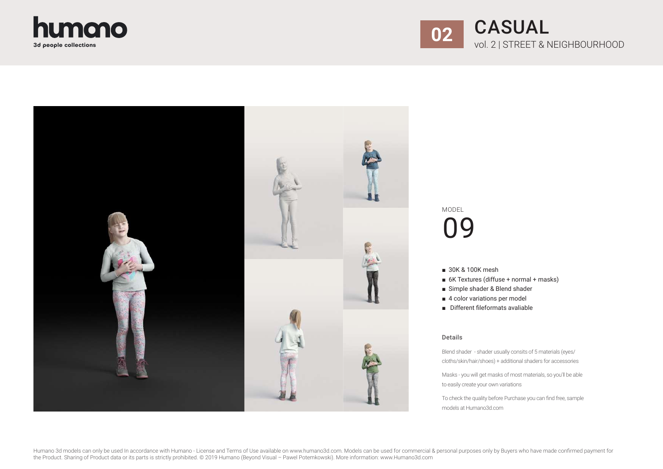





- 30K & 100K mesh
- 6K Textures (diffuse + normal + masks)
- Simple shader & Blend shader
- 4 color variations per model
- Different fileformats avaliable

#### Details

Blend shader - shader usually consits of 5 materials (eyes/ cloths/skin/hair/shoes) + additional shaders for accessories

Masks - you will get masks of most materials, so you'll be able to easily create your own variations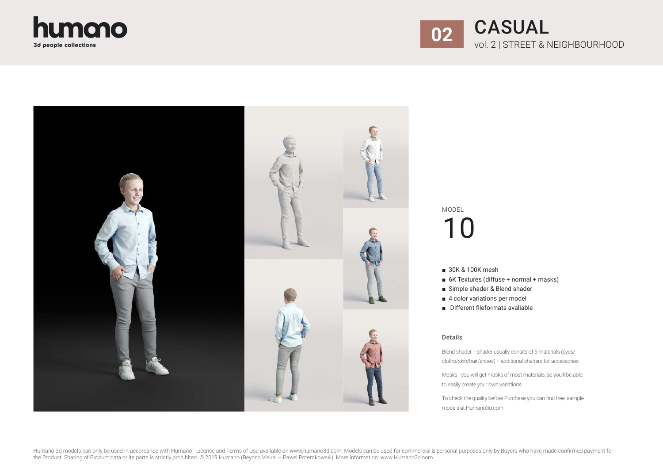





- 30K & 100K mesh
- 6K Textures (diffuse + normal + masks)
- Simple shader & Blend shader
- 4 color variations per model
- Different fileformats avaliable

### Details

Blend shader - shader usually consits of 5 materials (eyes/ cloths/skin/hair/shoes) + additional shaders for accessories

Masks - you will get masks of most materials, so you'll be able to easily create your own variations

To check the quality before Purchase you can find free, sample models at Humano3d.com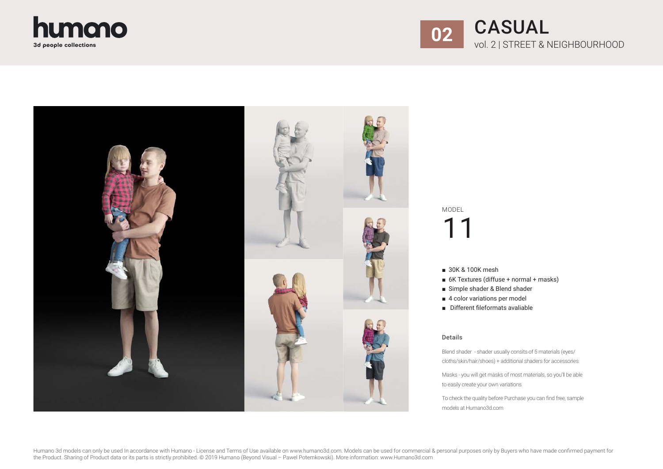





- 30K & 100K mesh
- 6K Textures (diffuse + normal + masks)
- Simple shader & Blend shader
- 4 color variations per model
- Different fileformats avaliable

### Details

Blend shader - shader usually consits of 5 materials (eyes/ cloths/skin/hair/shoes) + additional shaders for accessories

Masks - you will get masks of most materials, so you'll be able to easily create your own variations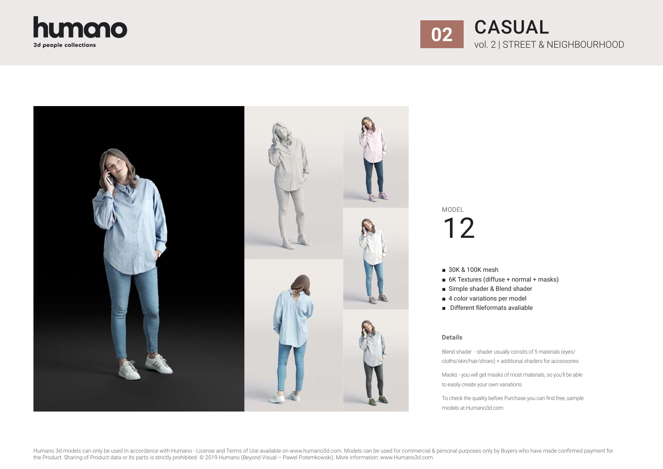





- 30K & 100K mesh
- 6K Textures (diffuse + normal + masks)
- Simple shader & Blend shader
- 4 color variations per model
- Different fileformats avaliable

### Details

Blend shader - shader usually consits of 5 materials (eyes/ cloths/skin/hair/shoes) + additional shaders for accessories

Masks - you will get masks of most materials, so you'll be able to easily create your own variations

To check the quality before Purchase you can find free, sample models at Humano3d.com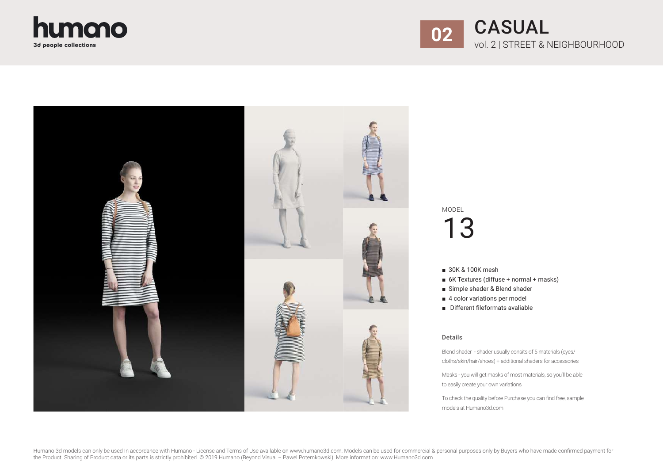





- 30K & 100K mesh
- 6K Textures (diffuse + normal + masks)
- Simple shader & Blend shader
- 4 color variations per model
- Different fileformats avaliable

#### Details

Blend shader - shader usually consits of 5 materials (eyes/ cloths/skin/hair/shoes) + additional shaders for accessories

Masks - you will get masks of most materials, so you'll be able to easily create your own variations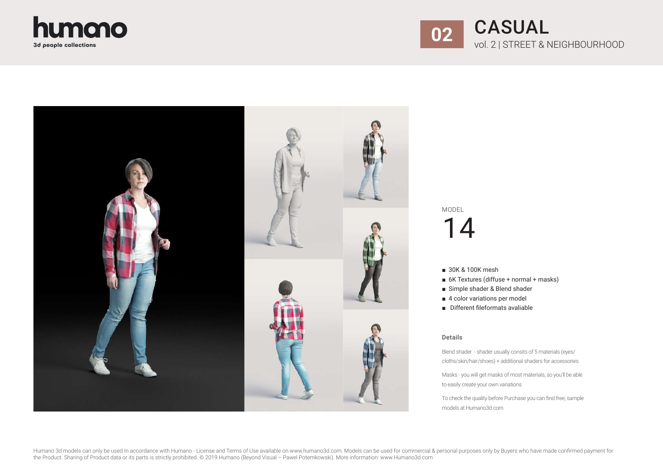





- 30K & 100K mesh
- 6K Textures (diffuse + normal + masks)
- Simple shader & Blend shader
- 4 color variations per model
- Different fileformats avaliable

#### Details

Blend shader - shader usually consits of 5 materials (eyes/ cloths/skin/hair/shoes) + additional shaders for accessories

Masks - you will get masks of most materials, so you'll be able to easily create your own variations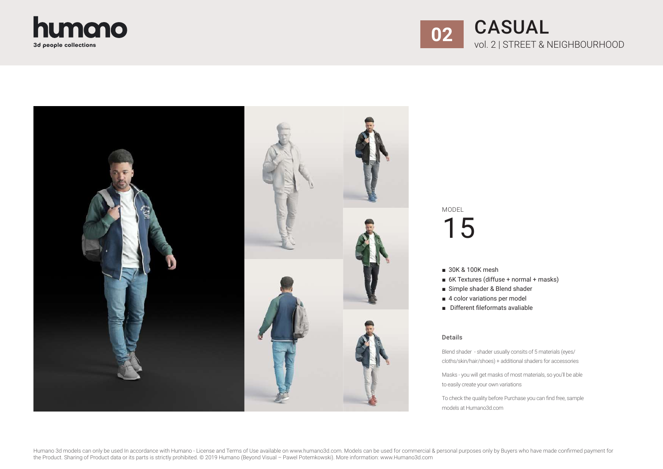





- 30K & 100K mesh
- 6K Textures (diffuse + normal + masks)
- Simple shader & Blend shader
- 4 color variations per model
- Different fileformats avaliable

#### Details

Blend shader - shader usually consits of 5 materials (eyes/ cloths/skin/hair/shoes) + additional shaders for accessories

Masks - you will get masks of most materials, so you'll be able to easily create your own variations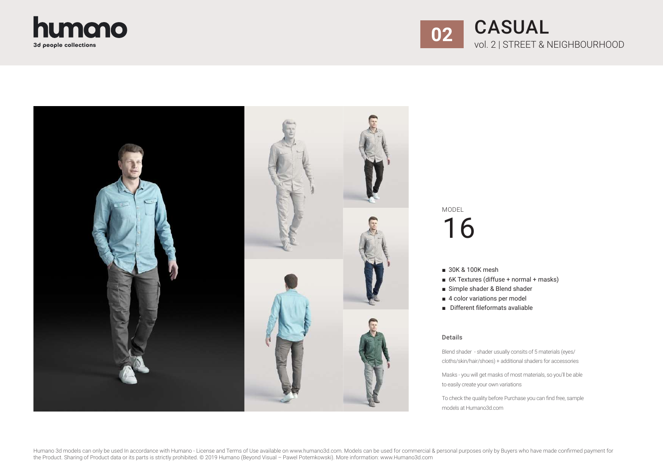





- 30K & 100K mesh
- 6K Textures (diffuse + normal + masks)
- Simple shader & Blend shader
- 4 color variations per model
- Different fileformats avaliable

#### Details

Blend shader - shader usually consits of 5 materials (eyes/ cloths/skin/hair/shoes) + additional shaders for accessories

Masks - you will get masks of most materials, so you'll be able to easily create your own variations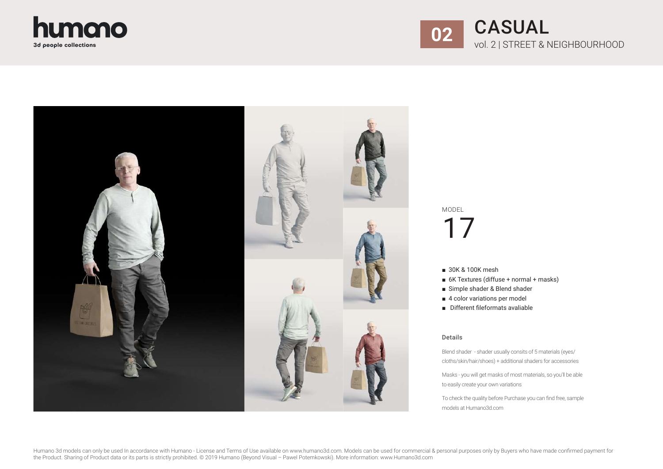





- 30K & 100K mesh
- 6K Textures (diffuse + normal + masks)
- Simple shader & Blend shader
- 4 color variations per model
- Different fileformats avaliable

#### Details

Blend shader - shader usually consits of 5 materials (eyes/ cloths/skin/hair/shoes) + additional shaders for accessories

Masks - you will get masks of most materials, so you'll be able to easily create your own variations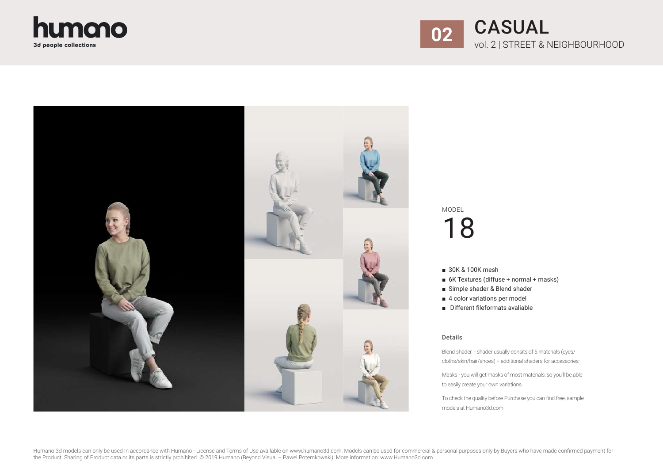





- 30K & 100K mesh
- 6K Textures (diffuse + normal + masks)
- Simple shader & Blend shader
- 4 color variations per model
- Different fileformats avaliable

#### Details

Blend shader - shader usually consits of 5 materials (eyes/ cloths/skin/hair/shoes) + additional shaders for accessories

Masks - you will get masks of most materials, so you'll be able to easily create your own variations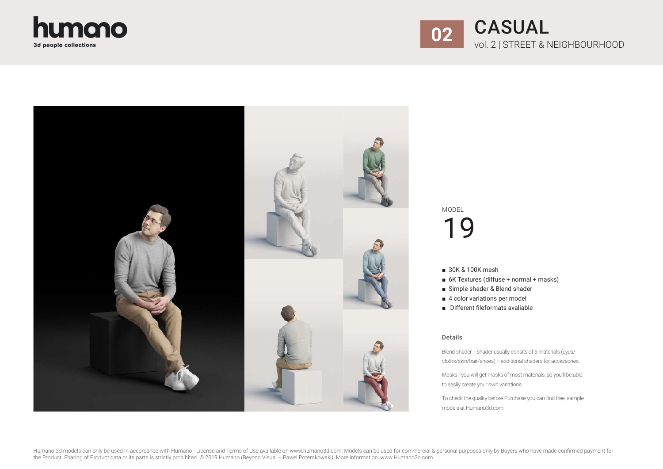





- 30K & 100K mesh
- 6K Textures (diffuse + normal + masks)
- Simple shader & Blend shader
- 4 color variations per model
- Different fileformats avaliable

#### Details

Blend shader - shader usually consits of 5 materials (eyes/ cloths/skin/hair/shoes) + additional shaders for accessories

Masks - you will get masks of most materials, so you'll be able to easily create your own variations